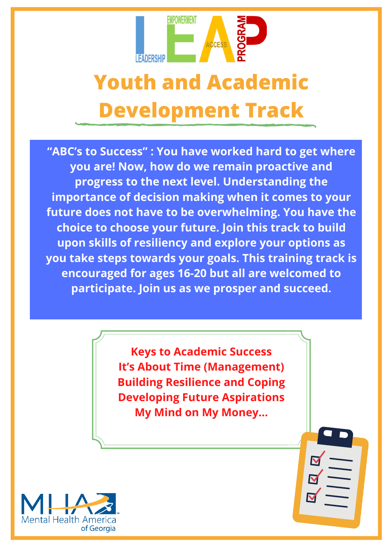

# **Youth and Academic Development Track**

**"ABC's to Success" : You have worked hard to get where you are! Now, how do we remain proactive and progress to the next level. Understanding the importance of decision making when it comes to your future does not have to be overwhelming. You have the choice to choose your future. Join this track to build upon skills of resiliency and explore your options as you take steps towards your goals. This training track is encouraged for ages 16-20 but all are welcomed to participate. Join us as we prosper and succeed.**

> **Keys to Academic Success It's About Time (Management) Building Resilience and Coping Developing Future Aspirations My Mind on My Money…**

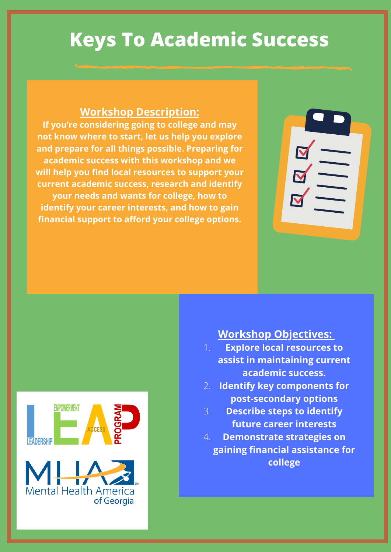### **Keys To Academic Success**

#### **Workshop Description:**

**If you're considering going to college and may not know where to start, let us help you explore and prepare for all things possible. Preparing for academic success with this workshop and we will help you find local resources to support your current academic success, research and identify your needs and wants for college, how to identify your career interests, and how to gain financial support to afford your college options.**





- **Explore local resources to assist in maintaining current academic success.**
- **Identify key components for** 2. **post-secondary options**
- **Describe steps to identify future career interests** 3.
- **Demonstrate strategies on gaining financial assistance for college** 4.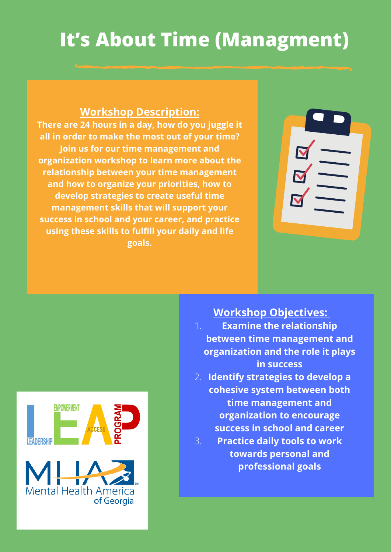# **It's About Time (Managment)**

#### **Workshop Description:**

**There are 24 hours in a day, how do you juggle it all in order to make the most out of your time? Join us for our time management and organization workshop to learn more about the relationship between your time management and how to organize your priorities, how to develop strategies to create useful time management skills that will support your success in school and your career, and practice using these skills to fulfill your daily and life goals.**





- **Examine the relationship between time management and organization and the role it plays in success Workshop Objectives:**
- **Identify strategies to develop a** 2. **cohesive system between both time management and organization to encourage success in school and career**
- **Practice daily tools to work towards personal and professional goals** 3.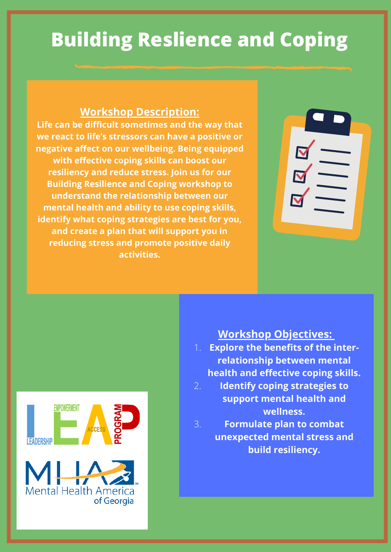# **Building Reslience and Coping**

#### **Workshop Description:**

**Life can be difficult sometimes and the way that we react to life's stressors can have a positive or negative affect on our wellbeing. Being equipped with effective coping skills can boost our resiliency and reduce stress. Join us for our Building Resilience and Coping workshop to understand the relationship between our mental health and ability to use coping skills, identify what coping strategies are best for you, and create a plan that will support you in reducing stress and promote positive daily activities.**





- **Explore the benefits of the interrelationship between mental health and effective coping skills.**
- **Identify coping strategies to support mental health and wellness.** 2.
- **Formulate plan to combat unexpected mental stress and build resiliency.** 3.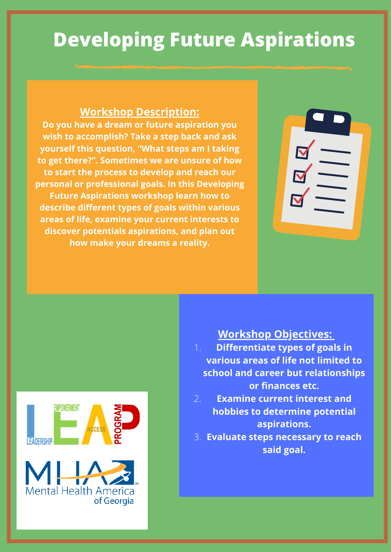# **Developing Future Aspirations**

#### **Workshop Description:**

**Do you have a dream or future aspiration you wish to accomplish? Take a step back and ask yourself this question, "What steps am I taking to get there?". Sometimes we are unsure of how to start the process to develop and reach our personal or professional goals. In this Developing Future Aspirations workshop learn how to describe different types of goals within various areas of life, examine your current interests to discover potentials aspirations, and plan out how make your dreams a reality.**





- **Differentiate types of goals in various areas of life not limited to school and career but relationships or finances etc.**
- **Examine current interest and hobbies to determine potential aspirations.**
- **Evaluate steps necessary to reach** 3.**said goal.**